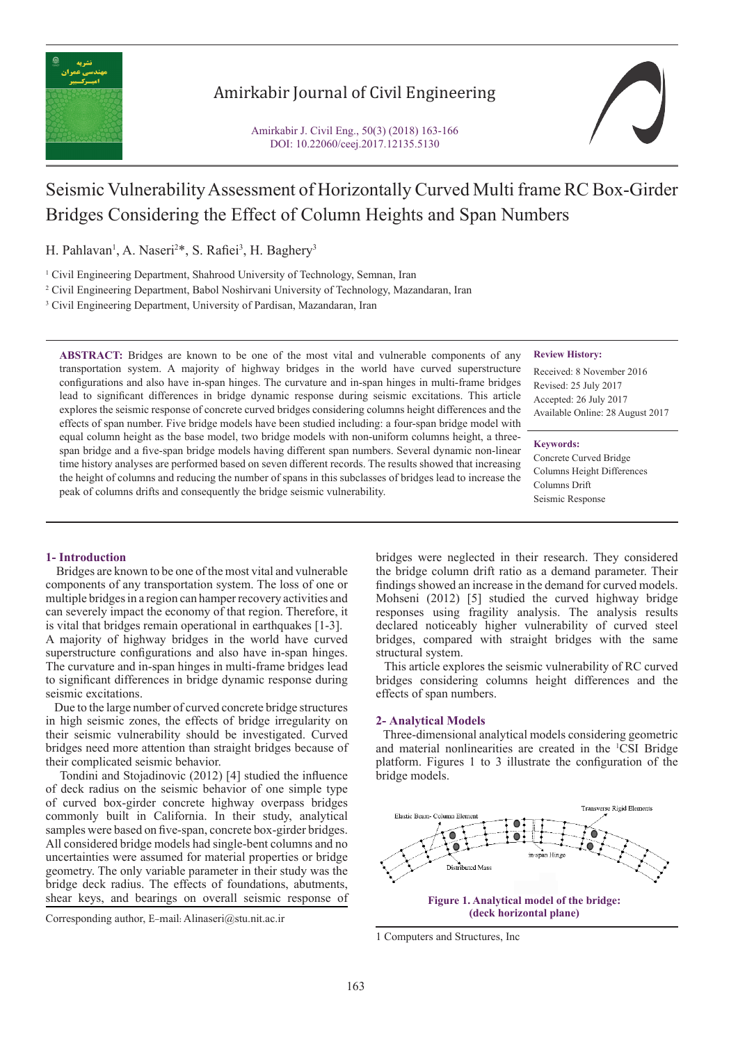

# Amirkabir Journal of Civil Engineering



# Seismic Vulnerability Assessment of Horizontally Curved Multi frame RC Box-Girder Bridges Considering the Effect of Column Heights and Span Numbers

H. Pahlavan<sup>1</sup>, A. Naseri<sup>2\*</sup>, S. Rafiei<sup>3</sup>, H. Baghery<sup>3</sup>

<sup>1</sup> Civil Engineering Department, Shahrood University of Technology, Semnan, Iran

2 Civil Engineering Department, Babol Noshirvani University of Technology, Mazandaran, Iran

<sup>3</sup> Civil Engineering Department, University of Pardisan, Mazandaran, Iran

**ABSTRACT:** Bridges are known to be one of the most vital and vulnerable components of any transportation system. A majority of highway bridges in the world have curved superstructure configurations and also have in-span hinges. The curvature and in-span hinges in multi-frame bridges lead to significant differences in bridge dynamic response during seismic excitations. This article explores the seismic response of concrete curved bridges considering columns height differences and the effects of span number. Five bridge models have been studied including: a four-span bridge model with equal column height as the base model, two bridge models with non-uniform columns height, a threespan bridge and a five-span bridge models having different span numbers. Several dynamic non-linear time history analyses are performed based on seven different records. The results showed that increasing the height of columns and reducing the number of spans in this subclasses of bridges lead to increase the peak of columns drifts and consequently the bridge seismic vulnerability.

#### **Review History:**

Received: 8 November 2016 Revised: 25 July 2017 Accepted: 26 July 2017 Available Online: 28 August 2017

### **Keywords:**

Concrete Curved Bridge Columns Height Differences Columns Drift Seismic Response

# **1- Introduction**

 Bridges are known to be one of the most vital and vulnerable components of any transportation system. The loss of one or multiple bridges in a region can hamper recovery activities and can severely impact the economy of that region. Therefore, it is vital that bridges remain operational in earthquakes [1-3]. A majority of highway bridges in the world have curved superstructure configurations and also have in-span hinges. The curvature and in-span hinges in multi-frame bridges lead to significant differences in bridge dynamic response during seismic excitations.

 Due to the large number of curved concrete bridge structures in high seismic zones, the effects of bridge irregularity on their seismic vulnerability should be investigated. Curved bridges need more attention than straight bridges because of their complicated seismic behavior.

 Tondini and Stojadinovic (2012) [4] studied the influence of deck radius on the seismic behavior of one simple type of curved box-girder concrete highway overpass bridges commonly built in California. In their study, analytical samples were based on five-span, concrete box-girder bridges. All considered bridge models had single-bent columns and no uncertainties were assumed for material properties or bridge geometry. The only variable parameter in their study was the bridge deck radius. The effects of foundations, abutments, shear keys, and bearings on overall seismic response of

Corresponding author, E-mail: Alinaseri@stu.nit.ac.ir

bridges were neglected in their research. They considered the bridge column drift ratio as a demand parameter. Their findings showed an increase in the demand for curved models. Mohseni (2012) [5] studied the curved highway bridge responses using fragility analysis. The analysis results declared noticeably higher vulnerability of curved steel bridges, compared with straight bridges with the same structural system.

 This article explores the seismic vulnerability of RC curved bridges considering columns height differences and the effects of span numbers.

# **2- Analytical Models**

 Three-dimensional analytical models considering geometric and material nonlinearities are created in the 1 CSI Bridge platform. Figures 1 to 3 illustrate the configuration of the bridge models.



<sup>1</sup> Computers and Structures, Inc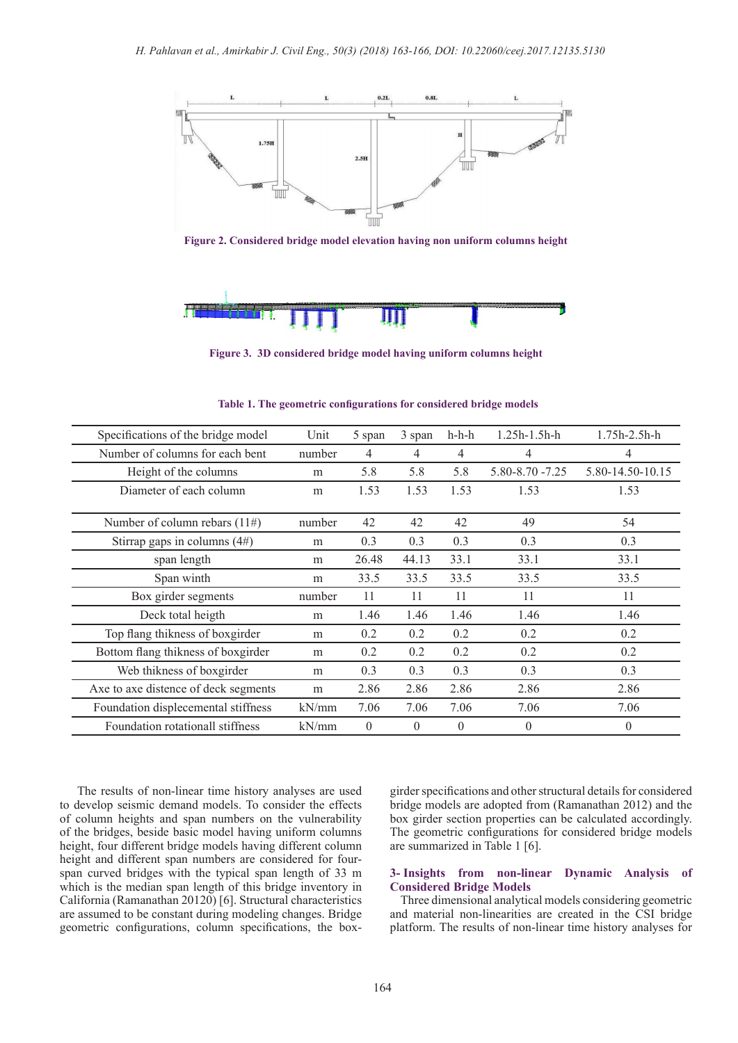

**Figure 2. Considered bridge model elevation having non uniform columns height**



**Figure 3. 3D considered bridge model having uniform columns height**

| Specifications of the bridge model   | Unit   | 5 span   | 3 span   | $h-h-h$  | $1.25h - 1.5h - h$   | $1.75h - 2.5h - h$ |
|--------------------------------------|--------|----------|----------|----------|----------------------|--------------------|
| Number of columns for each bent      | number | 4        | 4        | 4        | 4                    | 4                  |
| Height of the columns                | m      | 5.8      | 5.8      | 5.8      | $5.80 - 8.70 - 7.25$ | 5.80-14.50-10.15   |
| Diameter of each column              | m      | 1.53     | 1.53     | 1.53     | 1.53                 | 1.53               |
| Number of column rebars $(11\#)$     | number | 42       | 42       | 42       | 49                   | 54                 |
| Stirrap gaps in columns $(4#)$       | m      | 0.3      | 0.3      | 0.3      | 0.3                  | 0.3                |
| span length                          | m      | 26.48    | 44.13    | 33.1     | 33.1                 | 33.1               |
| Span winth                           | m      | 33.5     | 33.5     | 33.5     | 33.5                 | 33.5               |
| Box girder segments                  | number | 11       | 11       | 11       | 11                   | 11                 |
| Deck total heigth                    | m      | 1.46     | 1.46     | 1.46     | 1.46                 | 1.46               |
| Top flang thikness of boxgirder      | m      | 0.2      | 0.2      | 0.2      | 0.2                  | 0.2                |
| Bottom flang thikness of boxgirder   | m      | 0.2      | 0.2      | 0.2      | 0.2                  | 0.2                |
| Web thikness of boxgirder            | m      | 0.3      | 0.3      | 0.3      | 0.3                  | 0.3                |
| Axe to axe distence of deck segments | m      | 2.86     | 2.86     | 2.86     | 2.86                 | 2.86               |
| Foundation displecemental stiffness  | kN/mm  | 7.06     | 7.06     | 7.06     | 7.06                 | 7.06               |
| Foundation rotationall stiffness     | kN/mm  | $\theta$ | $\Omega$ | $\Omega$ | $\Omega$             | $\theta$           |

**Table 1. The geometric configurations for considered bridge models**

 The results of non-linear time history analyses are used to develop seismic demand models. To consider the effects of column heights and span numbers on the vulnerability of the bridges, beside basic model having uniform columns height, four different bridge models having different column height and different span numbers are considered for fourspan curved bridges with the typical span length of 33 m which is the median span length of this bridge inventory in California (Ramanathan 20120) [6]. Structural characteristics are assumed to be constant during modeling changes. Bridge geometric configurations, column specifications, the boxgirder specifications and other structural details for considered bridge models are adopted from (Ramanathan 2012) and the box girder section properties can be calculated accordingly. The geometric configurations for considered bridge models are summarized in Table 1 [6].

# **3- Insights from non-linear Dynamic Analysis of Considered Bridge Models**

 Three dimensional analytical models considering geometric and material non-linearities are created in the CSI bridge platform. The results of non-linear time history analyses for